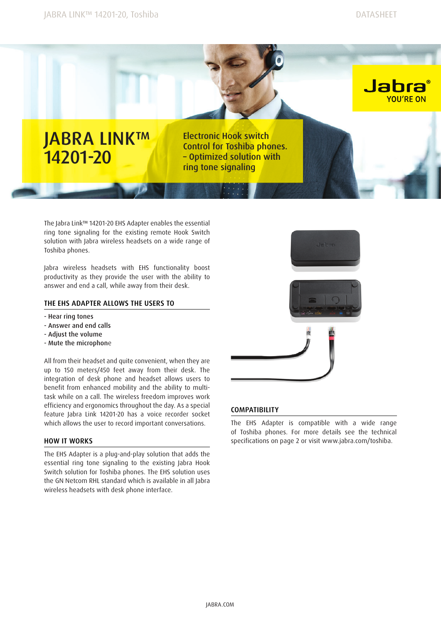

The Jabra Link™ 14201-20 EHS Adapter enables the essential ring tone signaling for the existing remote Hook Switch solution with Jabra wireless headsets on a wide range of Toshiba phones.

Jabra wireless headsets with EHS functionality boost productivity as they provide the user with the ability to answer and end a call, while away from their desk.

## THE EHS ADAPTER ALLOWS THE USERS TO

- Hear ring tones
- Answer and end calls
- Adjust the volume
- Mute the microphone

All from their headset and quite convenient, when they are up to 150 meters/450 feet away from their desk. The integration of desk phone and headset allows users to benefit from enhanced mobility and the ability to multitask while on a call. The wireless freedom improves work efficiency and ergonomics throughout the day. As a special feature Jabra Link 14201-20 has a voice recorder socket which allows the user to record important conversations.

## How it works

The EHS Adapter is a plug-and-play solution that adds the essential ring tone signaling to the existing Jabra Hook Switch solution for Toshiba phones. The EHS solution uses the GN Netcom RHL standard which is available in all Jabra wireless headsets with desk phone interface.



## **COMPATIBILITY**

The EHS Adapter is compatible with a wide range of Toshiba phones. For more details see the technical specifications on page 2 or visit www.jabra.com/toshiba.